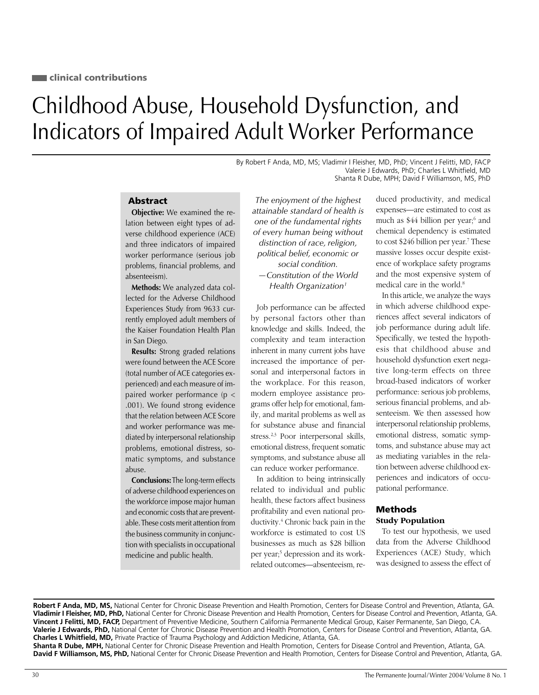# Childhood Abuse, Household Dysfunction, and Indicators of Impaired Adult Worker Performance

By Robert F Anda, MD, MS; Vladimir I Fleisher, MD, PhD; Vincent J Felitti, MD, FACP Valerie J Edwards, PhD; Charles L Whitfield, MD Shanta R Dube, MPH; David F Williamson, MS, PhD

# **Abstract**

**Objective:** We examined the relation between eight types of adverse childhood experience (ACE) and three indicators of impaired worker performance (serious job problems, financial problems, and absenteeism).

**Methods:** We analyzed data collected for the Adverse Childhood Experiences Study from 9633 currently employed adult members of the Kaiser Foundation Health Plan in San Diego.

**Results:** Strong graded relations were found between the ACE Score (total number of ACE categories experienced) and each measure of impaired worker performance (p < .001). We found strong evidence that the relation between ACE Score and worker performance was mediated by interpersonal relationship problems, emotional distress, somatic symptoms, and substance abuse.

**Conclusions:**The long-term effects of adverse childhood experiences on the workforce impose major human and economic costs that are preventable. These costs merit attention from the business community in conjunction with specialists in occupational medicine and public health.

*The enjoyment of the highest attainable standard of health is one of the fundamental rights of every human being without distinction of race, religion, political belief, economic or social condition. —Constitution of the World Health Organization1*

Job performance can be affected by personal factors other than knowledge and skills. Indeed, the complexity and team interaction inherent in many current jobs have increased the importance of personal and interpersonal factors in the workplace. For this reason, modern employee assistance programs offer help for emotional, family, and marital problems as well as for substance abuse and financial stress.2,3 Poor interpersonal skills, emotional distress, frequent somatic symptoms, and substance abuse all can reduce worker performance.

In addition to being intrinsically related to individual and public health, these factors affect business profitability and even national productivity.4 Chronic back pain in the workforce is estimated to cost US businesses as much as \$28 billion per year;<sup>5</sup> depression and its workrelated outcomes—absenteeism, reduced productivity, and medical expenses—are estimated to cost as much as \$44 billion per year;6 and chemical dependency is estimated to cost \$246 billion per year.<sup>7</sup> These massive losses occur despite existence of workplace safety programs and the most expensive system of medical care in the world.8

In this article, we analyze the ways in which adverse childhood experiences affect several indicators of job performance during adult life. Specifically, we tested the hypothesis that childhood abuse and household dysfunction exert negative long-term effects on three broad-based indicators of worker performance: serious job problems, serious financial problems, and absenteeism. We then assessed how interpersonal relationship problems, emotional distress, somatic symptoms, and substance abuse may act as mediating variables in the relation between adverse childhood experiences and indicators of occupational performance.

# **Methods Study Population**

To test our hypothesis, we used data from the Adverse Childhood Experiences (ACE) Study, which was designed to assess the effect of

**Robert F Anda, MD, MS,** National Center for Chronic Disease Prevention and Health Promotion, Centers for Disease Control and Prevention, Atlanta, GA. **Vladimir I Fleisher, MD, PhD,** National Center for Chronic Disease Prevention and Health Promotion, Centers for Disease Control and Prevention, Atlanta, GA. **Vincent J Felitti, MD, FACP,** Department of Preventive Medicine, Southern California Permanente Medical Group, Kaiser Permanente, San Diego, CA. **Valerie J Edwards, PhD,** National Center for Chronic Disease Prevention and Health Promotion, Centers for Disease Control and Prevention, Atlanta, GA. **Charles L Whitfield, MD,** Private Practice of Trauma Psychology and Addiction Medicine, Atlanta, GA.

**Shanta R Dube, MPH,** National Center for Chronic Disease Prevention and Health Promotion, Centers for Disease Control and Prevention, Atlanta, GA. **David F Williamson, MS, PhD,** National Center for Chronic Disease Prevention and Health Promotion, Centers for Disease Control and Prevention, Atlanta, GA.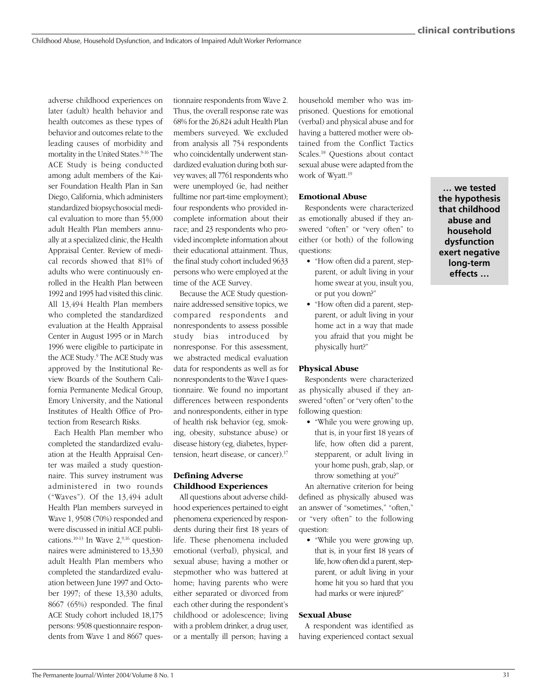adverse childhood experiences on later (adult) health behavior and health outcomes as these types of behavior and outcomes relate to the leading causes of morbidity and mortality in the United States.<sup>9-16</sup> The ACE Study is being conducted among adult members of the Kaiser Foundation Health Plan in San Diego, California, which administers standardized biopsychosocial medical evaluation to more than 55,000 adult Health Plan members annually at a specialized clinic, the Health Appraisal Center. Review of medical records showed that 81% of adults who were continuously enrolled in the Health Plan between 1992 and 1995 had visited this clinic. All 13,494 Health Plan members who completed the standardized evaluation at the Health Appraisal Center in August 1995 or in March 1996 were eligible to participate in the ACE Study.9 The ACE Study was approved by the Institutional Review Boards of the Southern California Permanente Medical Group, Emory University, and the National Institutes of Health Office of Protection from Research Risks.

Each Health Plan member who completed the standardized evaluation at the Health Appraisal Center was mailed a study questionnaire. This survey instrument was administered in two rounds ("Waves"). Of the 13,494 adult Health Plan members surveyed in Wave 1, 9508 (70%) responded and were discussed in initial ACE publications.10-13 In Wave 2,9,16 questionnaires were administered to 13,330 adult Health Plan members who completed the standardized evaluation between June 1997 and October 1997; of these 13,330 adults, 8667 (65%) responded. The final ACE Study cohort included 18,175 persons: 9508 questionnaire respondents from Wave 1 and 8667 questionnaire respondents from Wave 2. Thus, the overall response rate was 68% for the 26,824 adult Health Plan members surveyed. We excluded from analysis all 754 respondents who coincidentally underwent standardized evaluation during both survey waves; all 7761 respondents who were unemployed (ie, had neither fulltime nor part-time employment); four respondents who provided incomplete information about their race; and 23 respondents who provided incomplete information about their educational attainment. Thus, the final study cohort included 9633 persons who were employed at the time of the ACE Survey.

Because the ACE Study questionnaire addressed sensitive topics, we compared respondents and nonrespondents to assess possible study bias introduced by nonresponse. For this assessment, we abstracted medical evaluation data for respondents as well as for nonrespondents to the Wave I questionnaire. We found no important differences between respondents and nonrespondents, either in type of health risk behavior (eg, smoking, obesity, substance abuse) or disease history (eg, diabetes, hypertension, heart disease, or cancer).<sup>17</sup>

# **Defining Adverse Childhood Experiences**

All questions about adverse childhood experiences pertained to eight phenomena experienced by respondents during their first 18 years of life. These phenomena included emotional (verbal), physical, and sexual abuse; having a mother or stepmother who was battered at home; having parents who were either separated or divorced from each other during the respondent's childhood or adolescence; living with a problem drinker, a drug user, or a mentally ill person; having a

household member who was imprisoned. Questions for emotional (verbal) and physical abuse and for having a battered mother were obtained from the Conflict Tactics Scales.18 Questions about contact sexual abuse were adapted from the work of Wyatt.19

#### **Emotional Abuse**

Respondents were characterized as emotionally abused if they answered "often" or "very often" to either (or both) of the following questions:

- "How often did a parent, stepparent, or adult living in your home swear at you, insult you, or put you down?"
- "How often did a parent, stepparent, or adult living in your home act in a way that made you afraid that you might be physically hurt?"

# **Physical Abuse**

Respondents were characterized as physically abused if they answered "often" or "very often" to the following question:

• "While you were growing up, that is, in your first 18 years of life, how often did a parent, stepparent, or adult living in your home push, grab, slap, or throw something at you?"

An alternative criterion for being defined as physically abused was an answer of "sometimes," "often," or "very often" to the following question:

• "While you were growing up, that is, in your first 18 years of life, how often did a parent, stepparent, or adult living in your home hit you so hard that you had marks or were injured?"

#### **Sexual Abuse**

A respondent was identified as having experienced contact sexual

**… we tested the hypothesis that childhood abuse and household dysfunction exert negative long-term effects …**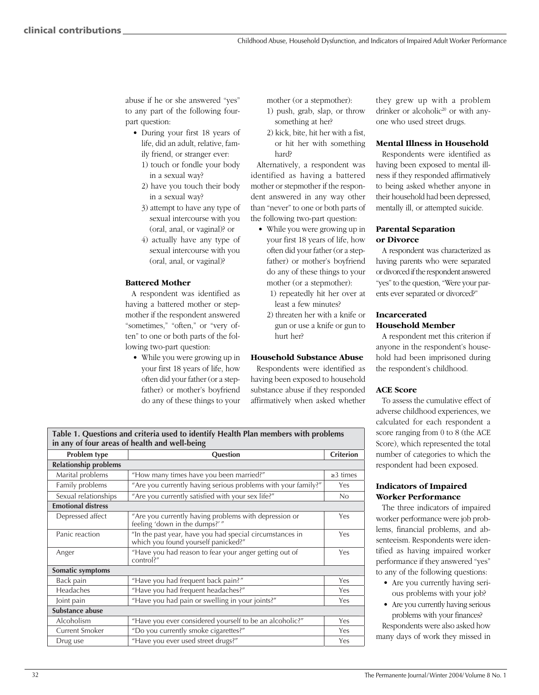abuse if he or she answered "yes" to any part of the following fourpart question:

- During your first 18 years of life, did an adult, relative, family friend, or stranger ever:
	- 1) touch or fondle your body in a sexual way?
	- 2) have you touch their body in a sexual way?
	- 3) attempt to have any type of sexual intercourse with you (oral, anal, or vaginal)? or
	- 4) actually have any type of sexual intercourse with you (oral, anal, or vaginal)?

#### **Battered Mother**

A respondent was identified as having a battered mother or stepmother if the respondent answered "sometimes," "often," or "very often" to one or both parts of the following two-part question:

• While you were growing up in your first 18 years of life, how often did your father (or a stepfather) or mother's boyfriend do any of these things to your

mother (or a stepmother): 1) push, grab, slap, or throw something at her?

2) kick, bite, hit her with a fist, or hit her with something hard?

Alternatively, a respondent was identified as having a battered mother or stepmother if the respondent answered in any way other than "never" to one or both parts of the following two-part question:

- While you were growing up in your first 18 years of life, how often did your father (or a stepfather) or mother's boyfriend do any of these things to your mother (or a stepmother):
	- 1) repeatedly hit her over at least a few minutes?
	- 2) threaten her with a knife or gun or use a knife or gun to hurt her?

### **Household Substance Abuse**

Respondents were identified as having been exposed to household substance abuse if they responded affirmatively when asked whether they grew up with a problem drinker or alcoholic<sup>20</sup> or with anyone who used street drugs.

#### **Mental Illness in Household**

Respondents were identified as having been exposed to mental illness if they responded affirmatively to being asked whether anyone in their household had been depressed, mentally ill, or attempted suicide.

#### **Parental Separation or Divorce**

A respondent was characterized as having parents who were separated or divorced if the respondent answered "yes" to the question, "Were your parents ever separated or divorced?"

# **Incarcerated Household Member**

A respondent met this criterion if anyone in the respondent's household had been imprisoned during the respondent's childhood.

#### **ACE Score**

To assess the cumulative effect of adverse childhood experiences, we calculated for each respondent a score ranging from 0 to 8 (the ACE Score), which represented the total number of categories to which the respondent had been exposed.

# **Indicators of Impaired Worker Performance**

The three indicators of impaired worker performance were job problems, financial problems, and absenteeism. Respondents were identified as having impaired worker performance if they answered "yes" to any of the following questions:

- Are you currently having serious problems with your job?
- Are you currently having serious problems with your finances?

Respondents were also asked how many days of work they missed in

|                     | Table 1. Questions and criteria used to identify Health Plan members with problems<br>in any of four areas of health and well-being |                  |  |  |  |  |
|---------------------|-------------------------------------------------------------------------------------------------------------------------------------|------------------|--|--|--|--|
| <b>Problem type</b> | <b>Question</b>                                                                                                                     | <b>Criterion</b> |  |  |  |  |

| <b>Relationship problems</b> |                                                                                                 |                |
|------------------------------|-------------------------------------------------------------------------------------------------|----------------|
| Marital problems             | "How many times have you been married?"                                                         | $\geq$ 3 times |
| Family problems              | "Are you currently having serious problems with your family?"                                   | Yes            |
| Sexual relationships         | "Are you currently satisfied with your sex life?"                                               | No             |
| <b>Emotional distress</b>    |                                                                                                 |                |
| Depressed affect             | "Are you currently having problems with depression or<br>feeling 'down in the dumps?'"          | Yes            |
| Panic reaction               | "In the past year, have you had special circumstances in<br>which you found yourself panicked?" | Yes            |
| Anger                        | "Have you had reason to fear your anger getting out of<br>control?"                             | Yes            |
| Somatic symptoms             |                                                                                                 |                |
| Back pain                    | "Have you had frequent back pain?"                                                              | Yes            |
| Headaches                    | "Have you had frequent headaches?"                                                              | Yes            |
| Joint pain                   | "Have you had pain or swelling in your joints?"                                                 | Yes            |
| Substance abuse              |                                                                                                 |                |
| Alcoholism                   | "Have you ever considered yourself to be an alcoholic?"                                         | Yes            |
| Current Smoker               | "Do you currently smoke cigarettes?"                                                            | Yes            |
| Drug use                     | "Have you ever used street drugs?"                                                              | Yes            |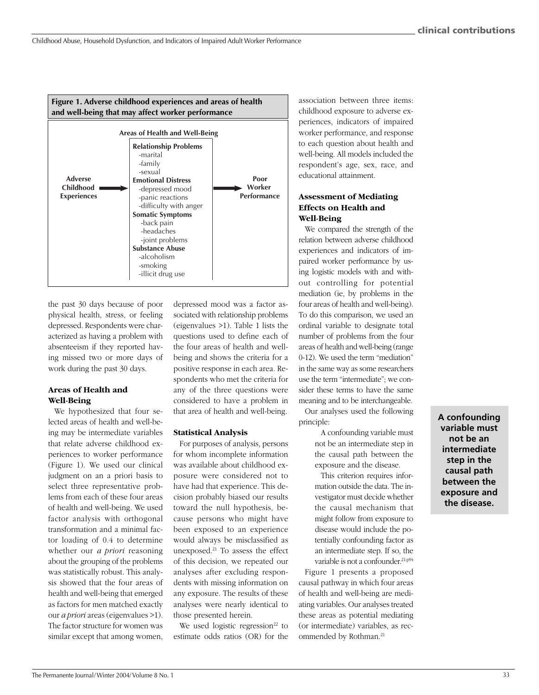

the past 30 days because of poor physical health, stress, or feeling depressed. Respondents were characterized as having a problem with absenteeism if they reported having missed two or more days of work during the past 30 days.

# **Areas of Health and Well-Being**

We hypothesized that four selected areas of health and well-being may be intermediate variables that relate adverse childhood experiences to worker performance (Figure 1). We used our clinical judgment on an a priori basis to select three representative problems from each of these four areas of health and well-being. We used factor analysis with orthogonal transformation and a minimal factor loading of 0.4 to determine whether our *a priori* reasoning about the grouping of the problems was statistically robust. This analysis showed that the four areas of health and well-being that emerged as factors for men matched exactly our *a priori* areas (eigenvalues >1). The factor structure for women was similar except that among women,

depressed mood was a factor associated with relationship problems (eigenvalues >1). Table 1 lists the questions used to define each of the four areas of health and wellbeing and shows the criteria for a positive response in each area. Respondents who met the criteria for any of the three questions were considered to have a problem in that area of health and well-being.

# **Statistical Analysis**

For purposes of analysis, persons for whom incomplete information was available about childhood exposure were considered not to have had that experience. This decision probably biased our results toward the null hypothesis, because persons who might have been exposed to an experience would always be misclassified as unexposed.21 To assess the effect of this decision, we repeated our analyses after excluding respondents with missing information on any exposure. The results of these analyses were nearly identical to those presented herein.

We used logistic regression<sup>22</sup> to estimate odds ratios (OR) for the

association between three items: childhood exposure to adverse experiences, indicators of impaired worker performance, and response to each question about health and well-being. All models included the respondent's age, sex, race, and educational attainment.

# **Assessment of Mediating Effects on Health and Well-Being**

We compared the strength of the relation between adverse childhood experiences and indicators of impaired worker performance by using logistic models with and without controlling for potential mediation (ie, by problems in the four areas of health and well-being). To do this comparison, we used an ordinal variable to designate total number of problems from the four areas of health and well-being (range 0-12). We used the term "mediation" in the same way as some researchers use the term "intermediate"; we consider these terms to have the same meaning and to be interchangeable.

Our analyses used the following principle:

> A confounding variable must not be an intermediate step in the causal path between the exposure and the disease.

> This criterion requires information outside the data. The investigator must decide whether the causal mechanism that might follow from exposure to disease would include the potentially confounding factor as an intermediate step. If so, the variable is not a confounder.<sup>21:p94</sup>

Figure 1 presents a proposed causal pathway in which four areas of health and well-being are mediating variables. Our analyses treated these areas as potential mediating (or intermediate) variables, as recommended by Rothman.<sup>21</sup>

# **A confounding variable must not be an intermediate step in the causal path between the exposure and the disease.**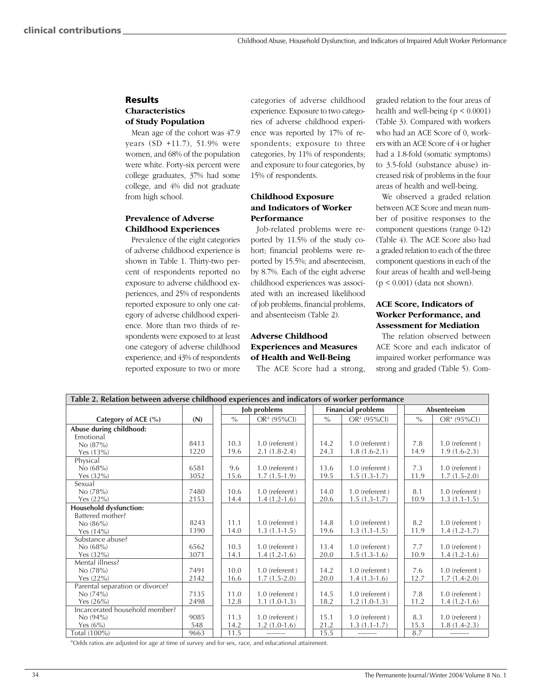#### **Results**

#### **Characteristics of Study Population**

Mean age of the cohort was 47.9 years (SD +11.7), 51.9% were women, and 68% of the population were white. Forty-six percent were college graduates, 37% had some college, and 4% did not graduate from high school.

# **Prevalence of Adverse Childhood Experiences**

Prevalence of the eight categories of adverse childhood experience is shown in Table 1. Thirty-two percent of respondents reported no exposure to adverse childhood experiences, and 25% of respondents reported exposure to only one category of adverse childhood experience. More than two thirds of respondents were exposed to at least one category of adverse childhood experience; and 43% of respondents reported exposure to two or more

categories of adverse childhood experience. Exposure to two categories of adverse childhood experience was reported by 17% of respondents; exposure to three categories, by 11% of respondents; and exposure to four categories, by 15% of respondents.

# **Childhood Exposure and Indicators of Worker Performance**

Job-related problems were reported by 11.5% of the study cohort; financial problems were reported by 15.5%; and absenteeism, by 8.7%. Each of the eight adverse childhood experiences was associated with an increased likelihood of job problems, financial problems, and absenteeism (Table 2).

# **Adverse Childhood Experiences and Measures of Health and Well-Being**

The ACE Score had a strong,

graded relation to the four areas of health and well-being  $(p < 0.0001)$ (Table 3). Compared with workers who had an ACE Score of 0, workers with an ACE Score of 4 or higher had a 1.8-fold (somatic symptoms) to 3.5-fold (substance abuse) increased risk of problems in the four areas of health and well-being.

We observed a graded relation between ACE Score and mean number of positive responses to the component questions (range 0-12) (Table 4). The ACE Score also had a graded relation to each of the three component questions in each of the four areas of health and well-being (p < 0.001) (data not shown).

### **ACE Score, Indicators of Worker Performance, and Assessment for Mediation**

The relation observed between ACE Score and each indicator of impaired worker performance was strong and graded (Table 5). Com-

| Table 2. Relation between adverse childhood experiences and indicators of worker performance |      |               |                         |  |               |                           |             |               |                  |
|----------------------------------------------------------------------------------------------|------|---------------|-------------------------|--|---------------|---------------------------|-------------|---------------|------------------|
|                                                                                              |      | Job problems  |                         |  |               | <b>Financial problems</b> | Absenteeism |               |                  |
| Category of ACE (%)                                                                          | (N)  | $\frac{0}{0}$ | OR <sup>a</sup> (95%Cl) |  | $\frac{0}{0}$ | OR <sup>a</sup> (95%Cl)   |             | $\frac{0}{0}$ | $OR^a$ (95%Cl)   |
| Abuse during childhood:                                                                      |      |               |                         |  |               |                           |             |               |                  |
| Emotional                                                                                    |      |               |                         |  |               |                           |             |               |                  |
| No (87%)                                                                                     | 8413 | 10.3          | 1.0 (referent)          |  | 14.2          | 1.0 (referent)            |             | 7.8           | 1.0 (referent)   |
| Yes $(13%)$                                                                                  | 1220 | 19.6          | $2.1(1.8-2.4)$          |  | 24.3          | $1.8(1.6-2.1)$            |             | 14.9          | $1.9(1.6-2.3)$   |
| Physical                                                                                     |      |               |                         |  |               |                           |             |               |                  |
| No (68%)                                                                                     | 6581 | 9.6           | 1.0 (referent)          |  | 13.6          | 1.0 (referent)            |             | 7.3           | $1.0$ (referent) |
| Yes (32%)                                                                                    | 3052 | 15.6          | $1.7(1.5-1.9)$          |  | 19.5          | $1.5(1.3-1.7)$            |             | 11.9          | $1.7(1.5-2.0)$   |
| Sexual                                                                                       |      |               |                         |  |               |                           |             |               |                  |
| No (78%)                                                                                     | 7480 | 10.6          | 1.0 (referent)          |  | 14.0          | 1.0 (referent)            |             | 8.1           | 1.0 (referent)   |
| Yes (22%)                                                                                    | 2153 | 14.4          | $1.4(1.2-1.6)$          |  | 20.6          | $1.5(1.3-1.7)$            |             | 10.9          | $1.3(1.1-1.5)$   |
| <b>Household dysfunction:</b>                                                                |      |               |                         |  |               |                           |             |               |                  |
| Battered mother?                                                                             |      |               |                         |  |               |                           |             |               |                  |
| No (86%)                                                                                     | 8243 | 11.1          | 1.0 (referent)          |  | 14.8          | $1.0$ (referent)          |             | 8.2           | $1.0$ (referent) |
| Yes $(14%)$                                                                                  | 1390 | 14.0          | $1.3(1.1-1.5)$          |  | 19.6          | $1.3(1.1-1.5)$            |             | 11.9          | $1.4(1.2-1.7)$   |
| Substance abuse?                                                                             |      |               |                         |  |               |                           |             |               |                  |
| No (68%)                                                                                     | 6562 | 10.3          | 1.0 (referent)          |  | 13.4          | 1.0 (referent)            |             | 7.7           | 1.0 (referent)   |
| Yes (32%)                                                                                    | 3071 | 14.1          | $1.4(1.2-1.6)$          |  | 20.0          | $1.5(1.3-1.6)$            |             | 10.9          | $1.4(1.2-1.6)$   |
| Mental illness?                                                                              |      |               |                         |  |               |                           |             |               |                  |
| No (78%)                                                                                     | 7491 | 10.0          | 1.0 (referent)          |  | 14.2          | 1.0 (referent)            |             | 7.6           | 1.0 (referent)   |
| Yes (22%)                                                                                    | 2142 | 16.6          | $1.7(1.5-2.0)$          |  | 20.0          | $1.4(1.3-1.6)$            |             | 12.7          | $1.7(1.4-2.0)$   |
| Parental separation or divorce?                                                              |      |               |                         |  |               |                           |             |               |                  |
| No (74%)                                                                                     | 7135 | 11.0          | 1.0 (referent)          |  | 14.5          | 1.0 (referent)            |             | 7.8           | 1.0 (referent)   |
| Yes $(26%)$                                                                                  | 2498 | 12.8          | $1.1(1.0-1.3)$          |  | 18.2          | $1.2(1.0-1.3)$            |             | 11.2          | $1.4(1.2-1.6)$   |
| Incarcerated household member?                                                               |      |               |                         |  |               |                           |             |               |                  |
| No (94%)                                                                                     | 9085 | 11.3          | 1.0 (referent)          |  | 15.1          | $1.0$ (referent)          |             | 8.3           | 1.0 (referent)   |
| Yes $(6\%)$                                                                                  | 548  | 14.2          | $1.2(1.0-1.6)$          |  | 21.2          | $1.3(1.1-1.7)$            |             | 15.3          | $1.8(1.4-2.3)$   |
| Total (100%)                                                                                 | 9663 | 11.5          | --------                |  | 15.5          | --------                  |             | 8.7           | --------         |

<sup>a</sup>Odds ratios are adjusted for age at time of survey and for sex, race, and educational attainment.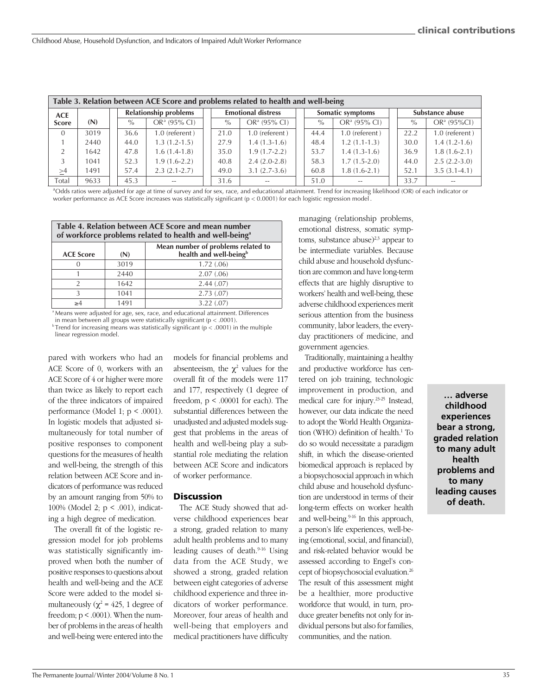| Table 3. Relation between ACE Score and problems related to health and well-being |      |                              |                 |                           |                 |  |                  |                  |  |                 |                  |  |
|-----------------------------------------------------------------------------------|------|------------------------------|-----------------|---------------------------|-----------------|--|------------------|------------------|--|-----------------|------------------|--|
| <b>ACE</b>                                                                        |      | <b>Relationship problems</b> |                 | <b>Emotional distress</b> |                 |  | Somatic symptoms |                  |  | Substance abuse |                  |  |
| Score                                                                             | (N)  | $\%$                         | $OR^a$ (95% CI) | $\%$                      | $OR^a$ (95% CI) |  | $\%$             | $OR^a$ (95% CI)  |  | $\frac{O}{O}$   | $OR^a (95\% CI)$ |  |
| $\overline{0}$                                                                    | 3019 | 36.6                         | 1.0 (referent)  | 21.0                      | 1.0 (referent)  |  | 44.4             | $1.0$ (referent) |  | 22.2            | 1.0 (referent)   |  |
|                                                                                   | 2440 | 44.0                         | $1.3(1.2-1.5)$  | 27.9                      | $1.4(1.3-1.6)$  |  | 48.4             | $1.2(1.1-1.3)$   |  | 30.0            | $1.4(1.2-1.6)$   |  |
|                                                                                   | 1642 | 47.8                         | $1.6(1.4-1.8)$  | 35.0                      | $1.9(1.7-2.2)$  |  | 53.7             | $1.4(1.3-1.6)$   |  | 36.9            | $1.8(1.6-2.1)$   |  |
|                                                                                   | 1041 | 52.3                         | $1.9(1.6-2.2)$  | 40.8                      | $2.4(2.0-2.8)$  |  | 58.3             | $1.7(1.5-2.0)$   |  | 44.0            | $2.5(2.2-3.0)$   |  |
| >4                                                                                | 1491 | 57.4                         | $2.3(2.1-2.7)$  | 49.0                      | $3.1(2.7-3.6)$  |  | 60.8             | $1.8(1.6-2.1)$   |  | 52.1            | $3.5(3.1-4.1)$   |  |
| Total                                                                             | 9633 | 45.3                         |                 | 31.6                      |                 |  | 51.0             |                  |  | 33.7            |                  |  |

<sup>a</sup>Odds ratios were adjusted for age at time of survey and for sex, race, and educational attainment. Trend for increasing likelihood (OR) of each indicator or worker performance as ACE Score increases was statistically significant (p < 0.0001) for each logistic regression model .

| Table 4. Relation between ACE Score and mean number<br>of workforce problems related to health and well-being <sup>a</sup> |      |                                                                          |  |  |  |  |
|----------------------------------------------------------------------------------------------------------------------------|------|--------------------------------------------------------------------------|--|--|--|--|
| <b>ACE Score</b>                                                                                                           | (N)  | Mean number of problems related to<br>health and well-being <sup>b</sup> |  |  |  |  |
| $\left($                                                                                                                   | 3019 | 1.72(.06)                                                                |  |  |  |  |
|                                                                                                                            | 2440 | 2.07(.06)                                                                |  |  |  |  |
| $\mathcal{D}$                                                                                                              | 1642 | 2.44(.07)                                                                |  |  |  |  |
| 3                                                                                                                          | 1041 | 2.73(.07)                                                                |  |  |  |  |
| >4                                                                                                                         | 1491 | 3.22(.07)                                                                |  |  |  |  |

<sup>a</sup> Means were adjusted for age, sex, race, and educational attainment. Differences

in mean between all groups were statistically significant (p < .0001).

 $b$  Trend for increasing means was statistically significant (p < .0001) in the multiple linear regression model.

pared with workers who had an ACE Score of 0, workers with an ACE Score of 4 or higher were more than twice as likely to report each of the three indicators of impaired performance (Model 1; p < .0001). In logistic models that adjusted simultaneously for total number of positive responses to component questions for the measures of health and well-being, the strength of this relation between ACE Score and indicators of performance was reduced by an amount ranging from 50% to 100% (Model 2; p < .001), indicating a high degree of medication.

The overall fit of the logistic regression model for job problems was statistically significantly improved when both the number of positive responses to questions about health and well-being and the ACE Score were added to the model simultaneously ( $\chi^2$  = 425, 1 degree of freedom;  $p < .0001$ ). When the number of problems in the areas of health and well-being were entered into the

models for financial problems and absenteeism, the  $\chi^2$  values for the overall fit of the models were 117 and 177, respectively (1 degree of freedom,  $p < .00001$  for each). The substantial differences between the unadjusted and adjusted models suggest that problems in the areas of health and well-being play a substantial role mediating the relation between ACE Score and indicators of worker performance.

#### **Discussion**

The ACE Study showed that adverse childhood experiences bear a strong, graded relation to many adult health problems and to many leading causes of death.<sup>9-16</sup> Using data from the ACE Study, we showed a strong, graded relation between eight categories of adverse childhood experience and three indicators of worker performance. Moreover, four areas of health and well-being that employers and medical practitioners have difficulty

managing (relationship problems, emotional distress, somatic symptoms, substance abuse) $^{2,3}$  appear to be intermediate variables. Because child abuse and household dysfunction are common and have long-term effects that are highly disruptive to workers' health and well-being, these adverse childhood experiences merit serious attention from the business community, labor leaders, the everyday practitioners of medicine, and government agencies.

Traditionally, maintaining a healthy and productive workforce has centered on job training, technologic improvement in production, and medical care for injury.23-25 Instead, however, our data indicate the need to adopt the World Health Organization (WHO) definition of health.<sup>1</sup> To do so would necessitate a paradigm shift, in which the disease-oriented biomedical approach is replaced by a biopsychosocial approach in which child abuse and household dysfunction are understood in terms of their long-term effects on worker health and well-being.<sup>9-16</sup> In this approach, a person's life experiences, well-being (emotional, social, and financial), and risk-related behavior would be assessed according to Engel's concept of biopsychosocial evaluation.26 The result of this assessment might be a healthier, more productive workforce that would, in turn, produce greater benefits not only for individual persons but also for families, communities, and the nation.

**… adverse childhood experiences bear a strong, graded relation to many adult health problems and to many leading causes of death.**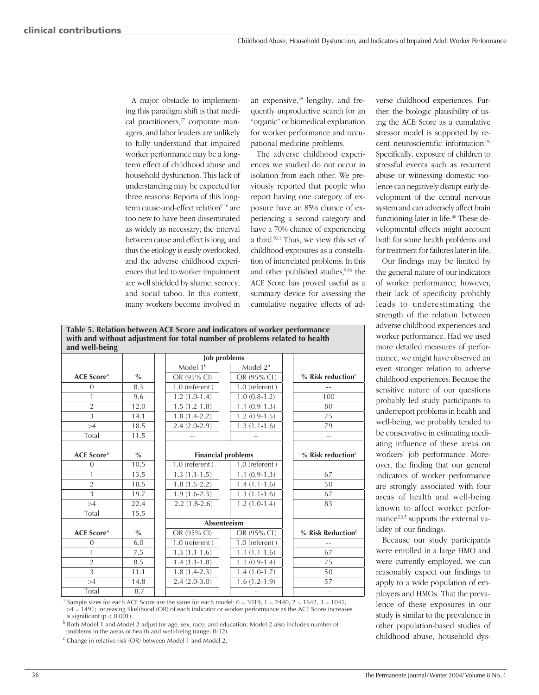A major obstacle to implementing this paradigm shift is that medical practitioners,<sup>27</sup> corporate managers, and labor leaders are unlikely to fully understand that impaired worker performance may be a longterm effect of childhood abuse and household dysfunction. This lack of understanding may be expected for three reasons: Reports of this longterm cause-and-effect relation<sup>9-16</sup> are too new to have been disseminated as widely as necessary; the interval between cause and effect is long, and thus the etiology is easily overlooked; and the adverse childhood experiences that led to worker impairment are well shielded by shame, secrecy, and social taboo. In this context, many workers become involved in

an expensive,28 lengthy, and frequently unproductive search for an "organic" or biomedical explanation for worker performance and occupational medicine problems.

The adverse childhood experiences we studied do not occur in isolation from each other. We previously reported that people who report having one category of exposure have an 85% chance of experiencing a second category and have a 70% chance of experiencing a third.9,11 Thus, we view this set of childhood exposures as a constellation of interrelated problems. In this and other published studies, 9-16 the ACE Score has proved useful as a summary device for assessing the cumulative negative effects of ad-

| and well-being                |               |                  | with and without adjustment for total number of problems related to nearth |                          |  |  |
|-------------------------------|---------------|------------------|----------------------------------------------------------------------------|--------------------------|--|--|
|                               |               |                  | Job problems                                                               |                          |  |  |
|                               |               | Model $1b$       | Model $2b$                                                                 |                          |  |  |
| <b>ACE Score</b> <sup>a</sup> | $\frac{0}{0}$ | OR (95% CI)      | OR (95% CI)                                                                | $%$ Risk reduction $c$   |  |  |
| $\overline{0}$                | 8.3           | 1.0 (referent)   | 1.0 (referent)                                                             |                          |  |  |
| 1                             | 9.6           | $1.2(1.0-1.4)$   | $1.0(0.8-1.2)$                                                             | 100                      |  |  |
| $\overline{2}$                | 12.0          | $1.5(1.2-1.8)$   | $1.1(0.9-1.3)$                                                             | 80                       |  |  |
| 3                             | 14.1          | $1.8(1.4-2.2)$   | $1.2(0.9-1.5)$                                                             | 75                       |  |  |
| >4                            | 18.5          | $2.4(2.0-2.9)$   | $1.3(1.1-1.6)$                                                             | 79                       |  |  |
| Total                         | 11.5          | $-$              |                                                                            | $-$                      |  |  |
| <b>ACE Score</b> <sup>a</sup> | $\%$          |                  | <b>Financial problems</b>                                                  | $%$ Risk reduction $c$   |  |  |
| $\overline{0}$                | 10.5          | $1.0$ (referent) | 1.0 (referent)                                                             |                          |  |  |
| 1                             | 13.5          | $1.3(1.1-1.5)$   | $1.1(0.9-1.3)$                                                             | 67                       |  |  |
| $\overline{2}$                | 18.5          | $1.8(1.5-2.2)$   | $1.4(1.1-1.6)$                                                             | 50                       |  |  |
| 3                             | 19.7          | $1.9(1.6-2.3)$   | $1.3(1.1-1.6)$                                                             | 67                       |  |  |
| >4                            | 22.4          | $2.2(1.8-2.6)$   | $1.2(1.0-1.4)$                                                             | 83                       |  |  |
| Total                         | 15.5          |                  |                                                                            | $-$                      |  |  |
|                               |               |                  | Absenteeism                                                                |                          |  |  |
| <b>ACE Score</b> <sup>a</sup> | $\%$          | OR (95% CI)      | OR (95% CI)                                                                | $%$ Risk Reduction $c$   |  |  |
| $\overline{0}$                | 6.0           | 1.0 (referent)   | 1.0 (referent)                                                             | $-$                      |  |  |
| 1                             | 7.5           | $1.3(1.1-1.6)$   | $1.1(1.1-1.6)$                                                             | 67                       |  |  |
| $\overline{2}$                | 8.5           | $1.4(1.1-1.8)$   | $1.1(0.9-1.4)$                                                             | 75                       |  |  |
| 3                             | 11.1          | $1.8(1.4-2.3)$   | $1.4(1.0-1.7)$                                                             | 50                       |  |  |
| >4                            | 14.8          | $2.4(2.0-3.0)$   | $1.6(1.2-1.9)$                                                             | 57                       |  |  |
| Total                         | 8.7           | $-$              |                                                                            | $\overline{\phantom{m}}$ |  |  |

**Table 5. Relation between ACE Score and indicators of worker performance with and without adjustment for total number of problems related to health**

<sup>a</sup> Sample sizes for each ACE Score are the same for each model:  $0 = 3019$ ,  $1 = 2440$ ,  $2 = 1642$ ,  $3 = 1041$ , >4 = 1491; increasing likelihood (OR) of each indicator or worker performance as the ACE Score increases is significant ( $p < 0.001$ ).

<sup>b</sup> Both Model 1 and Model 2 adjust for age, sex, race, and education; Model 2 also includes number of problems in the areas of health and well-being (range: 0-12).

<sup>c</sup> Change in relative risk (OR) between Model 1 and Model 2.

abuse or witnessing domestic violence can negatively disrupt early development of the central nervous system and can adversely affect brain functioning later in life.30 These developmental effects might account both for some health problems and for treatment for failures later in life. Our findings may be limited by the general nature of our indicators of worker performance; however, their lack of specificity probably leads to underestimating the strength of the relation between adverse childhood experiences and worker performance. Had we used more detailed measures of performance, we might have observed an even stronger relation to adverse childhood experiences. Because the sensitive nature of our questions probably led study participants to underreport problems in health and well-being, we probably tended to be conservative in estimating mediating influence of these areas on workers' job performance. Moreover, the finding that our general indicators of worker performance

verse childhood experiences. Further, the biologic plausibility of using the ACE Score as a cumulative stressor model is supported by recent neuroscientific information.29 Specifically, exposure of children to stressful events such as recurrent

are strongly associated with four areas of health and well-being known to affect worker performance<sup>2,3,5</sup> supports the external validity of our findings.

Because our study participants were enrolled in a large HMO and were currently employed, we can reasonably expect our findings to apply to a wide population of employers and HMOs. That the prevalence of these exposures in our study is similar to the prevalence in other population-based studies of childhood abuse, household dys-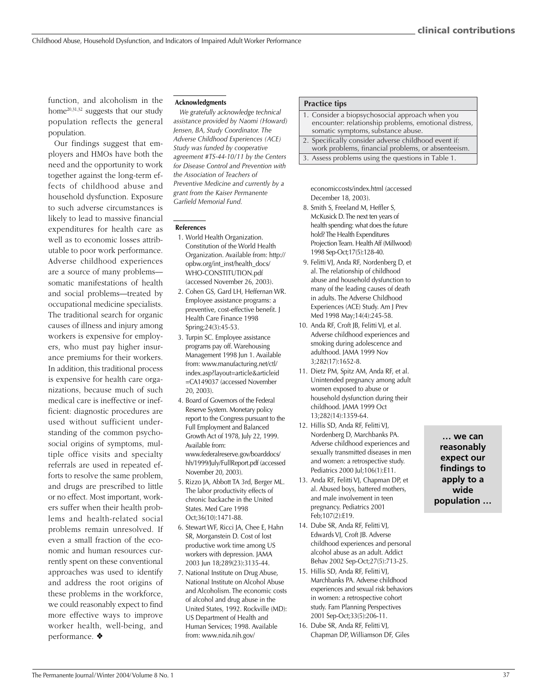function, and alcoholism in the home20,31,32 suggests that our study population reflects the general population.

Our findings suggest that employers and HMOs have both the need and the opportunity to work together against the long-term effects of childhood abuse and household dysfunction. Exposure to such adverse circumstances is likely to lead to massive financial expenditures for health care as well as to economic losses attributable to poor work performance. Adverse childhood experiences are a source of many problems somatic manifestations of health and social problems—treated by occupational medicine specialists. The traditional search for organic causes of illness and injury among workers is expensive for employers, who must pay higher insurance premiums for their workers. In addition, this traditional process is expensive for health care organizations, because much of such medical care is ineffective or inefficient: diagnostic procedures are used without sufficient understanding of the common psychosocial origins of symptoms, multiple office visits and specialty referrals are used in repeated efforts to resolve the same problem, and drugs are prescribed to little or no effect. Most important, workers suffer when their health problems and health-related social problems remain unresolved. If even a small fraction of the economic and human resources currently spent on these conventional approaches was used to identify and address the root origins of these problems in the workforce, we could reasonably expect to find more effective ways to improve worker health, well-being, and performance. ❖

#### **Acknowledgments**

*We gratefully acknowledge technical assistance provided by Naomi (Howard) Jensen, BA, Study Coordinator. The Adverse Childhood Experiences (ACE) Study was funded by cooperative agreement #TS-44-10/11 by the Centers for Disease Control and Prevention with the Association of Teachers of Preventive Medicine and currently by a grant from the Kaiser Permanente Garfield Memorial Fund.*

#### **References**

- 1. World Health Organization. Constitution of the World Health Organization. Available from: http:// opbw.org/int\_inst/health\_docs/ WHO-CONSTITUTION.pdf (accessed November 26, 2003).
- 2. Cohen GS, Gard LH, Heffernan WR. Employee assistance programs: a preventive, cost-effective benefit. J Health Care Finance 1998 Spring;24(3):45-53.
- 3. Turpin SC. Employee assistance programs pay off. Warehousing Management 1998 Jun 1. Available from: www.manufacturing.net/ctl/ index.asp?layout=article&articleid =CA149037 (accessed November 20, 2003).
- 4. Board of Governors of the Federal Reserve System. Monetary policy report to the Congress pursuant to the Full Employment and Balanced Growth Act of 1978, July 22, 1999. Available from: www.federalreserve.gov/boarddocs/ hh/1999/July/FullReport.pdf (accessed November 20, 2003).
- 5. Rizzo JA, Abbott TA 3rd, Berger ML. The labor productivity effects of chronic backache in the United States. Med Care 1998 Oct;36(10):1471-88.
- 6. Stewart WF, Ricci JA, Chee E, Hahn SR, Morganstein D. Cost of lost productive work time among US workers with depression. JAMA 2003 Jun 18;289(23):3135-44.
- 7. National Institute on Drug Abuse, National Institute on Alcohol Abuse and Alcoholism. The economic costs of alcohol and drug abuse in the United States, 1992. Rockville (MD): US Department of Health and Human Services; 1998. Available from: www.nida.nih.gov/

#### **Practice tips**

- 1. Consider a biopsychosocial approach when you encounter: relationship problems, emotional distress, somatic symptoms, substance abuse.
- 2. Specifically consider adverse childhood event if:
- work problems, financial problems, or absenteeism.
- 3. Assess problems using the questions in Table 1.

economiccosts/index.html (accessed December 18, 2003).

- 8. Smith S, Freeland M, Heffler S, McKusick D. The next ten years of health spending: what does the future hold? The Health Expenditures Projection Team. Health Aff (Millwood) 1998 Sep-Oct;17(5):128-40.
- 9. Felitti VJ, Anda RF, Nordenberg D, et al. The relationship of childhood abuse and household dysfunction to many of the leading causes of death in adults. The Adverse Childhood Experiences (ACE) Study. Am J Prev Med 1998 May;14(4):245-58.
- 10. Anda RF, Croft JB, Felitti VJ, et al. Adverse childhood experiences and smoking during adolescence and adulthood. JAMA 1999 Nov 3;282(17):1652-8.
- 11. Dietz PM, Spitz AM, Anda RF, et al. Unintended pregnancy among adult women exposed to abuse or household dysfunction during their childhood. JAMA 1999 Oct 13;282(14):1359-64.
- 12. Hillis SD, Anda RF, Felitti VJ, Nordenberg D, Marchbanks PA. Adverse childhood experiences and sexually transmitted diseases in men and women: a retrospective study. Pediatrics 2000 Jul;106(1):E11.
- 13. Anda RF, Felitti VJ, Chapman DP, et al. Abused boys, battered mothers, and male involvement in teen pregnancy. Pediatrics 2001 Feb;107(2):E19.
- 14. Dube SR, Anda RF, Felitti VJ, Edwards VJ, Croft JB. Adverse childhood experiences and personal alcohol abuse as an adult. Addict Behav 2002 Sep-Oct;27(5):713-25.
- 15. Hillis SD, Anda RF, Felitti VJ, Marchbanks PA. Adverse childhood experiences and sexual risk behaviors in women: a retrospective cohort study. Fam Planning Perspectives 2001 Sep-Oct;33(5):206-11.
- 16. Dube SR, Anda RF, Felitti VJ, Chapman DP, Williamson DF, Giles

**… we can reasonably expect our findings to apply to a wide population …**